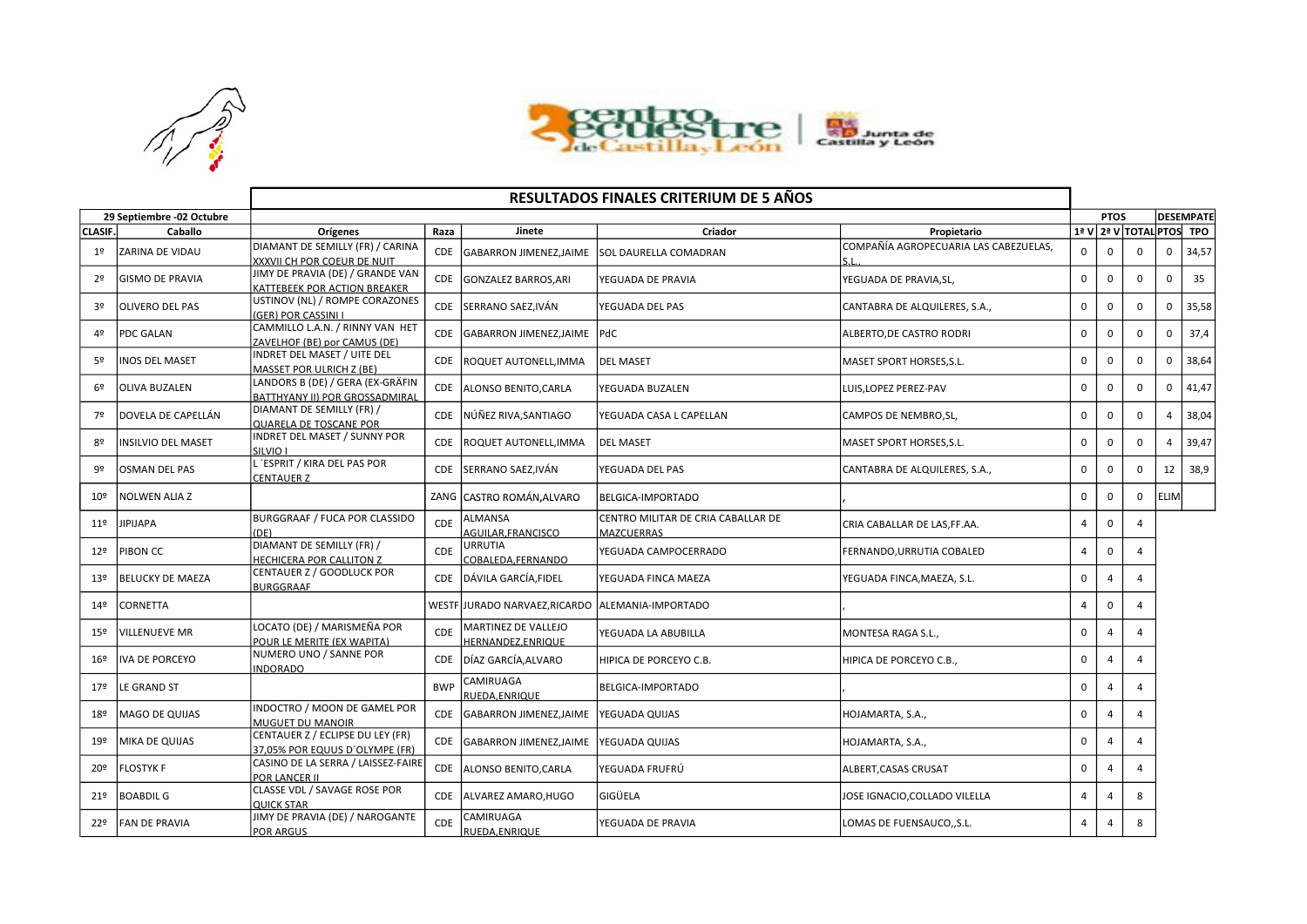



|                           | <b>RESULTADOS FINALES CRITERIUM DE 5 AÑOS</b> |                                                                           |            |                                          |                                                         |                                       |                |                                 |           |             |                          |  |
|---------------------------|-----------------------------------------------|---------------------------------------------------------------------------|------------|------------------------------------------|---------------------------------------------------------|---------------------------------------|----------------|---------------------------------|-----------|-------------|--------------------------|--|
| 29 Septiembre -02 Octubre |                                               |                                                                           |            |                                          |                                                         |                                       |                | <b>DESEMPATE</b><br><b>PTOS</b> |           |             |                          |  |
| <b>CLASIF.</b>            | Caballo                                       | Orígenes                                                                  | Raza       | Jinete                                   | Criador                                                 | Propietario                           |                |                                 |           |             | 1ª V 2ª V TOTAL PTOS TPO |  |
| 1 <sup>°</sup>            | <b>ZARINA DE VIDAU</b>                        | DIAMANT DE SEMILLY (FR) / CARINA<br>XXXVII CH POR COEUR DE NUIT           | <b>CDE</b> | GABARRON JIMENEZ, JAIME                  | <b>SOL DAURELLA COMADRAN</b>                            | COMPAÑÍA AGROPECUARIA LAS CABEZUELAS, | $\mathbf 0$    | $\mathbf 0$                     | $\Omega$  | $\mathbf 0$ | 34,57                    |  |
| 2 <sup>o</sup>            | <b>GISMO DE PRAVIA</b>                        | JIMY DE PRAVIA (DE) / GRANDE VAN<br>KATTEBEEK POR ACTION BREAKER          | <b>CDE</b> | GONZALEZ BARROS, ARI                     | YEGUADA DE PRAVIA                                       | YEGUADA DE PRAVIA,SL,                 | 0              | $\mathbf 0$                     | $\Omega$  | $\Omega$    | 35                       |  |
| 3 <sup>o</sup>            | <b>OLIVERO DEL PAS</b>                        | USTINOV (NL) / ROMPE CORAZONES<br>(GER) POR CASSINI I                     | CDE        | SERRANO SAEZ, IVÁN                       | YEGUADA DEL PAS                                         | CANTABRA DE ALQUILERES, S.A.,         | $\Omega$       | $\Omega$                        | $\Omega$  | $\Omega$    | 35,58                    |  |
| 42                        | <b>PDC GALAN</b>                              | CAMMILLO L.A.N. / RINNY VAN HET<br>ZAVELHOF (BE) por CAMUS (DE)           | <b>CDE</b> | GABARRON JIMENEZ, JAIME   PdC            |                                                         | ALBERTO, DE CASTRO RODRI              | $\Omega$       | $\Omega$                        | $\Omega$  | $\Omega$    | 37,4                     |  |
| 52                        | <b>INOS DEL MASET</b>                         | INDRET DEL MASET / UITE DEL<br>MASSET POR ULRICH Z (BE)                   | <b>CDE</b> | ROQUET AUTONELL, IMMA                    | <b>DEL MASET</b>                                        | MASET SPORT HORSES, S.L.              | $\Omega$       | $\Omega$                        | $\Omega$  | $\Omega$    | 38,64                    |  |
| 6 <sup>°</sup>            | <b>OLIVA BUZALEN</b>                          | LANDORS B (DE) / GERA (EX-GRÄFIN<br><b>BATTHYANY II) POR GROSSADMIRAL</b> | CDE        | ALONSO BENITO, CARLA                     | YEGUADA BUZALEN                                         | LUIS, LOPEZ PEREZ-PAV                 | $\mathbf 0$    | $\mathbf 0$                     | $\Omega$  | $\Omega$    | 41,47                    |  |
| 7º                        | DOVELA DE CAPELLÁN                            | DIAMANT DE SEMILLY (FR) /<br>QUARELA DE TOSCANE POR                       | <b>CDE</b> | NÚÑEZ RIVA,SANTIAGO                      | YEGUADA CASA L CAPELLAN                                 | CAMPOS DE NEMBRO, SL,                 | 0              | 0                               | $\Omega$  | Δ           | 38,04                    |  |
| 8º                        | INSILVIO DEL MASET                            | INDRET DEL MASET / SUNNY POR<br>SILVIO I                                  | <b>CDE</b> | ROQUET AUTONELL, IMMA                    | <b>DEL MASET</b>                                        | MASET SPORT HORSES, S.L.              | $\mathbf 0$    | $\mathbf 0$                     | $\Omega$  | $\Delta$    | 39,47                    |  |
| 92                        | <b>OSMAN DEL PAS</b>                          | . `ESPRIT / KIRA DEL PAS POR<br>CENTAUER Z                                | CDE        | SERRANO SAEZ, IVÁN                       | YEGUADA DEL PAS                                         | CANTABRA DE ALQUILERES, S.A.,         | $\mathbf 0$    | $\mathbf 0$                     | $\Omega$  | 12          | 38,9                     |  |
| 10 <sup>°</sup>           | <b>NOLWEN ALIA Z</b>                          |                                                                           |            | ZANG CASTRO ROMÁN.ALVARO                 | BELGICA-IMPORTADO                                       |                                       | $\Omega$       | $\Omega$                        | $\Omega$  | <b>ELIM</b> |                          |  |
| 11 <sup>°</sup>           | <b>JIPIJAPA</b>                               | BURGGRAAF / FUCA POR CLASSIDO<br>(DE)                                     | <b>CDE</b> | <b>ALMANSA</b><br>AGUILAR.FRANCISCO      | CENTRO MILITAR DE CRIA CABALLAR DE<br><b>MAZCUERRAS</b> | CRIA CABALLAR DE LAS,FF.AA.           | $\overline{4}$ | $\mathbf 0$                     | 4         |             |                          |  |
| 12 <sup>°</sup>           | PIBON CC                                      | DIAMANT DE SEMILLY (FR) /<br>HECHICERA POR CALLITON Z                     | <b>CDE</b> | URRUTIA<br>COBALEDA.FERNANDO             | YEGUADA CAMPOCERRADO                                    | FERNANDO,URRUTIA COBALED              | 4              | $\Omega$                        | Δ         |             |                          |  |
| 13 <sup>°</sup>           | <b>BELUCKY DE MAEZA</b>                       | CENTAUER Z / GOODLUCK POR<br><b>BURGGRAAF</b>                             | <b>CDE</b> | DÁVILA GARCÍA,FIDEL                      | YEGUADA FINCA MAEZA                                     | YEGUADA FINCA,MAEZA, S.L.             | $\mathbf 0$    | $\overline{a}$                  | Δ         |             |                          |  |
| 14º                       | CORNETTA                                      |                                                                           |            | WESTF JURADO NARVAEZ, RICARDO            | ALEMANIA-IMPORTADO                                      |                                       | $\overline{4}$ | $\Omega$                        | $\Lambda$ |             |                          |  |
| 15º                       | VILLENUEVE MR                                 | LOCATO (DE) / MARISMEÑA POR<br>POUR LE MERITE (EX WAPITA)                 | <b>CDE</b> | MARTINEZ DE VALLEJO<br>HERNANDEZ.ENRIQUE | YEGUADA LA ABUBILLA                                     | MONTESA RAGA S.L.,                    | $\Omega$       | $\overline{a}$                  |           |             |                          |  |
| 16º                       | <b>IVA DE PORCEYO</b>                         | NUMERO UNO / SANNE POR<br><b>INDORADO</b>                                 | CDE        | DÍAZ GARCÍA, ALVARO                      | HIPICA DE PORCEYO C.B.                                  | HIPICA DE PORCEYO C.B.,               | $\mathbf 0$    | $\overline{a}$                  | Δ         |             |                          |  |
| 17º                       | LE GRAND ST                                   |                                                                           | <b>BWP</b> | CAMIRUAGA<br>RUEDA.ENRIQUE               | BELGICA-IMPORTADO                                       |                                       | $\Omega$       | $\overline{a}$                  |           |             |                          |  |
| 18º                       | MAGO DE QUIJAS                                | INDOCTRO / MOON DE GAMEL POR<br><b>MUGUET DU MANOIR</b>                   | CDE        | <b>GABARRON JIMENEZ, JAIME</b>           | YEGUADA QUIJAS                                          | HOJAMARTA, S.A.,                      | 0              | $\overline{a}$                  |           |             |                          |  |
| 19º                       | MIKA DE QUIJAS                                | CENTAUER Z / ECLIPSE DU LEY (FR)<br>37.05% POR EQUUS D'OLYMPE (FR)        | CDE        | GABARRON JIMENEZ, JAIME                  | YEGUADA QUIJAS                                          | HOJAMARTA, S.A.,                      | $\mathbf 0$    | $\overline{a}$                  | $\Lambda$ |             |                          |  |
| 20º                       | <b>FLOSTYK F</b>                              | CASINO DE LA SERRA / LAISSEZ-FAIRE<br>POR LANCER II                       | CDE        | ALONSO BENITO, CARLA                     | YEGUADA FRUFRÚ                                          | ALBERT, CASAS CRUSAT                  | $\Omega$       | $\overline{a}$                  | Δ         |             |                          |  |
| 219                       | <b>BOABDIL G</b>                              | CLASSE VDL / SAVAGE ROSE POR<br><b>QUICK STAR</b>                         | CDE        | ALVAREZ AMARO, HUGO                      | <b>GIGÜELA</b>                                          | JOSE IGNACIO,COLLADO VILELLA          | $\overline{4}$ | $\overline{4}$                  | 8         |             |                          |  |
| 22º                       | <b>FAN DE PRAVIA</b>                          | JIMY DE PRAVIA (DE) / NAROGANTE<br><b>POR ARGUS</b>                       | <b>CDE</b> | CAMIRUAGA<br>RUEDA.ENRIQUE               | YEGUADA DE PRAVIA                                       | LOMAS DE FUENSAUCO,,S.L.              | 4              | 4                               | 8         |             |                          |  |